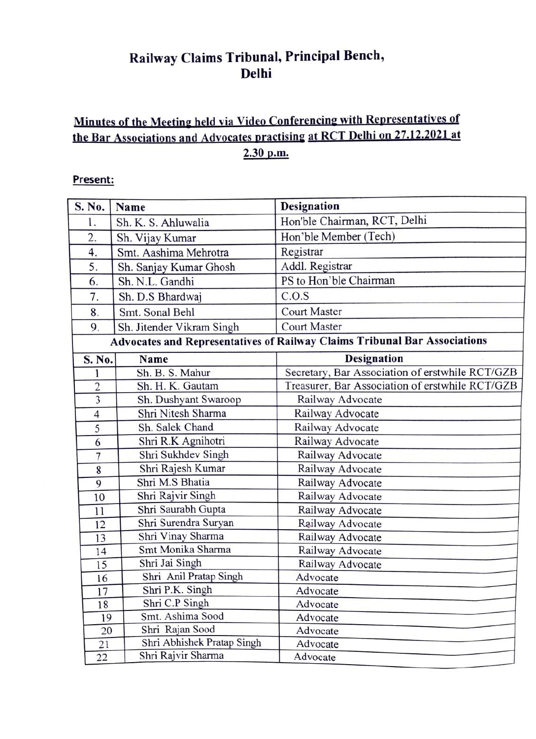## Railway Claims Tribunal, Principal Bench, Delhi

## Minutes of the Meeting held via Video Conferencing with Representatives of the Bar Associations and Advocates practising at RCT Delhi on 27.12.2021 at 2.30 p.m.

## Present:

| S. No.                                                                    | Name                                   | Designation                                     |  |  |
|---------------------------------------------------------------------------|----------------------------------------|-------------------------------------------------|--|--|
| 1.                                                                        | Sh. K. S. Ahluwalia                    | Hon'ble Chairman, RCT, Delhi                    |  |  |
| 2.                                                                        | Sh. Vijay Kumar                        | Hon'ble Member (Tech)                           |  |  |
| 4.                                                                        | Smt. Aashima Mehrotra                  | Registrar                                       |  |  |
| 5.                                                                        | Sh. Sanjay Kumar Ghosh                 | Addl. Registrar                                 |  |  |
| 6.                                                                        | Sh. N.L. Gandhi                        | PS to Hon'ble Chairman                          |  |  |
| 7.                                                                        | Sh. D.S Bhardwaj                       | C.O.S                                           |  |  |
| 8.                                                                        | Smt. Sonal Behl                        | <b>Court Master</b>                             |  |  |
| 9.                                                                        | Sh. Jitender Vikram Singh              | <b>Court Master</b>                             |  |  |
| Advocates and Representatives of Railway Claims Tribunal Bar Associations |                                        |                                                 |  |  |
| S. No.                                                                    | Name                                   | <b>Designation</b>                              |  |  |
| 1                                                                         | Sh. B. S. Mahur                        | Secretary, Bar Association of erstwhile RCT/GZB |  |  |
| $\overline{2}$                                                            | Sh. H. K. Gautam                       | Treasurer, Bar Association of erstwhile RCT/GZB |  |  |
| $\overline{3}$                                                            | Sh. Dushyant Swaroop                   | Railway Advocate                                |  |  |
| $\overline{4}$                                                            | Shri Nitesh Sharma                     | Railway Advocate                                |  |  |
| 5                                                                         | Sh. Salek Chand<br>Railway Advocate    |                                                 |  |  |
| 6                                                                         | Shri R.K Agnihotri<br>Railway Advocate |                                                 |  |  |
| $\overline{7}$                                                            | Shri Sukhdev Singh<br>Railway Advocate |                                                 |  |  |
| 8                                                                         | Shri Rajesh Kumar                      | Railway Advocate                                |  |  |
| $\overline{9}$                                                            | Shri M.S Bhatia                        | Railway Advocate                                |  |  |
| 10                                                                        | Shri Rajvir Singh                      | Railway Advocate                                |  |  |
| 11                                                                        | Shri Saurabh Gupta                     | Railway Advocate                                |  |  |
| 12                                                                        | Shri Surendra Suryan                   | Railway Advocate                                |  |  |
| 13                                                                        | Shri Vinay Sharma                      | Railway Advocate                                |  |  |
| 14                                                                        | Smt Monika Sharma                      | Railway Advocate                                |  |  |
| 15                                                                        | Shri Jai Singh                         | Railway Advocate                                |  |  |
| 16                                                                        | Shri Anil Pratap Singh                 | Advocate                                        |  |  |
| 17                                                                        | Shri P.K. Singh                        | Advocate                                        |  |  |
| 18                                                                        | Shri C.P Singh                         | Advocate                                        |  |  |
| 19                                                                        | Smt. Ashima Sood                       | Advocate                                        |  |  |
| 20                                                                        | Shri Rajan Sood                        | Advocate                                        |  |  |
| 21                                                                        | Shri Abhishek Pratap Singh             | Advocate                                        |  |  |
| 22                                                                        | Shri Rajvir Sharma                     | Advocate                                        |  |  |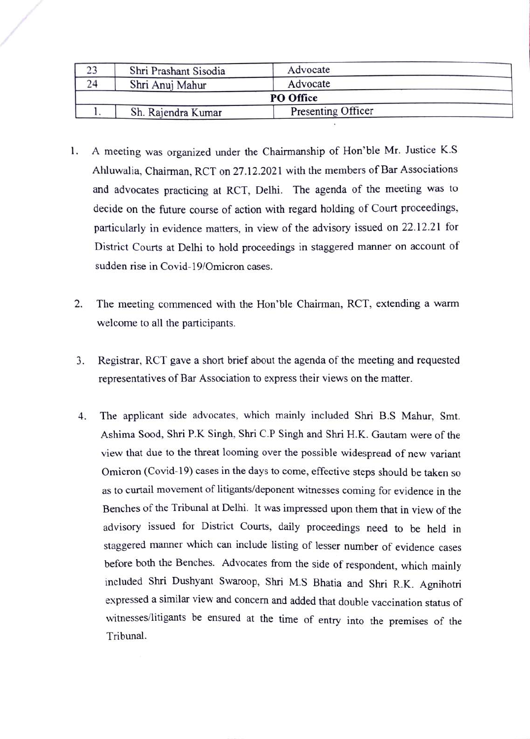| 23 | Shri Prashant Sisodia | Advocate           |  |
|----|-----------------------|--------------------|--|
| 24 | Shri Anuj Mahur       | Advocate           |  |
|    |                       | PO Office          |  |
|    | Sh. Rajendra Kumar    | Presenting Officer |  |

- 1. A meeting was organized under the Chairmanship of Hon'ble Mr. Justice K.S Ahluwalia, Chairman, RCT on 27.12.2021 with the members of Bar Associations and advocates practicing at RCT, Delhi. The agenda of the meeting was to decide on the future course of action with regard holding of Court proceedings, particularly in evidence matters, in view of the advisory issued on 22.12.21 for District Courts at Delhi to hold proceedings in staggered manner on account of sudden rise in Covid-19/Omicron cases.
- 2 The meeting commenced with the Hon'ble Chairman, RCT, extending a warm welcome to all the participants.
- 3 Registrar, RCT gave a short brief about the agenda of the meeting and requested representatives of Bar Association to express their views on the matter.
- 4. The applicant side advocates, which mainly included Shri B.S Mahur, Smt. Ashima Sood, Shri P.K Singh, Shri C.P Singh and Shri H.K. Gautam were of the view that due to the threat looming over the possible widespread of new variant Omicron (Covid-19) cases in the days to come, effective steps should be taken so as to curtail movement of litigants/deponent witnesses coming for evidence in the Benches of the Tribunal at Delhi. It was impressed upon them that in view of the advisory issued for District Courts, daily proceedings need to be held in staggered manner which can include listing of lesser number of evidence cases before both the Benches. Advocates from the side of respondent, which mainly included Shri Dushyant Swaroop, Shri M.S Bhatia and Shri R.K. Agnihotri expressed a similar view and concern and added that double vaccination status of witnesses/litigants be ensured at the time of entry into the premises of the Tribunal.